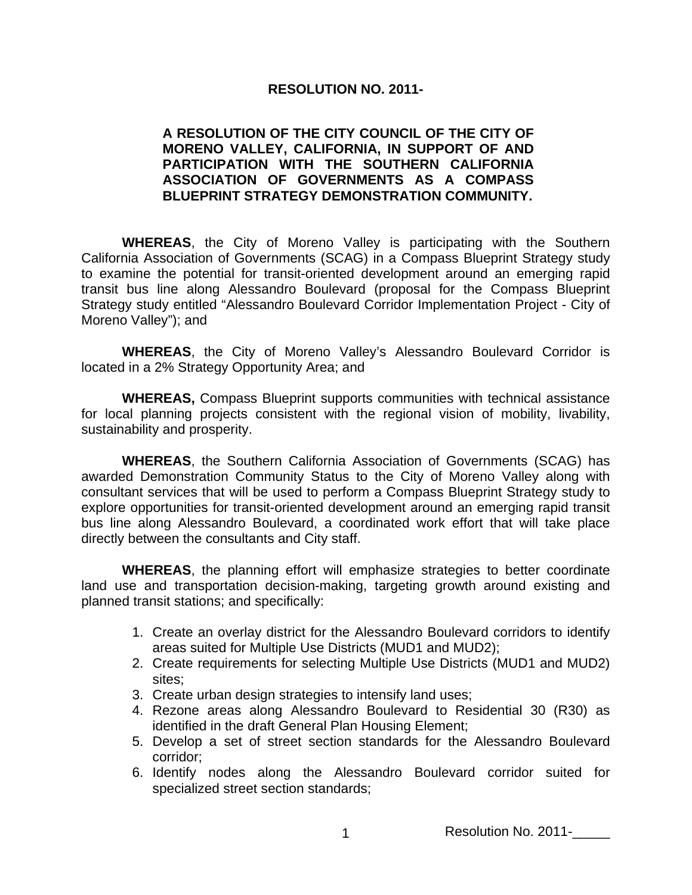## **RESOLUTION NO. 2011-**

## **A RESOLUTION OF THE CITY COUNCIL OF THE CITY OF MORENO VALLEY, CALIFORNIA, IN SUPPORT OF AND PARTICIPATION WITH THE SOUTHERN CALIFORNIA ASSOCIATION OF GOVERNMENTS AS A COMPASS BLUEPRINT STRATEGY DEMONSTRATION COMMUNITY.**

**WHEREAS**, the City of Moreno Valley is participating with the Southern California Association of Governments (SCAG) in a Compass Blueprint Strategy study to examine the potential for transit-oriented development around an emerging rapid transit bus line along Alessandro Boulevard (proposal for the Compass Blueprint Strategy study entitled "Alessandro Boulevard Corridor Implementation Project - City of Moreno Valley"); and

**WHEREAS**, the City of Moreno Valley's Alessandro Boulevard Corridor is located in a 2% Strategy Opportunity Area; and

**WHEREAS,** Compass Blueprint supports communities with technical assistance for local planning projects consistent with the regional vision of mobility, livability, sustainability and prosperity.

**WHEREAS**, the Southern California Association of Governments (SCAG) has awarded Demonstration Community Status to the City of Moreno Valley along with consultant services that will be used to perform a Compass Blueprint Strategy study to explore opportunities for transit-oriented development around an emerging rapid transit bus line along Alessandro Boulevard, a coordinated work effort that will take place directly between the consultants and City staff.

**WHEREAS**, the planning effort will emphasize strategies to better coordinate land use and transportation decision-making, targeting growth around existing and planned transit stations; and specifically:

- 1. Create an overlay district for the Alessandro Boulevard corridors to identify areas suited for Multiple Use Districts (MUD1 and MUD2);
- 2. Create requirements for selecting Multiple Use Districts (MUD1 and MUD2) sites;
- 3. Create urban design strategies to intensify land uses;
- 4. Rezone areas along Alessandro Boulevard to Residential 30 (R30) as identified in the draft General Plan Housing Element;
- 5. Develop a set of street section standards for the Alessandro Boulevard corridor;
- 6. Identify nodes along the Alessandro Boulevard corridor suited for specialized street section standards;

1 Resolution No. 2011-